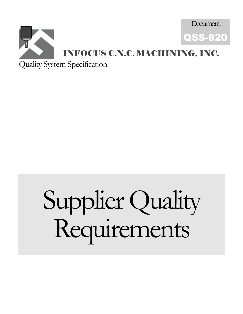

Quality System Specification

# Supplier Quality Requirements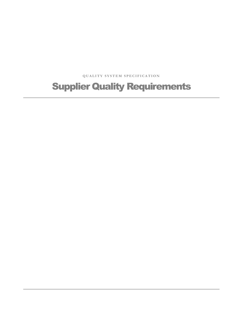**QUALITY SYSTEM SPECIFICATION** 

## Supplier Quality Requirements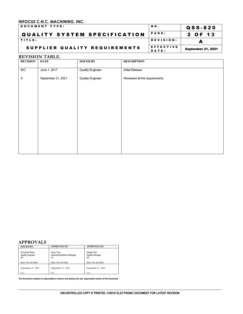| <b>DOCUMENT TYPE:</b>               | NO.                | Q S S - 8 2 0             |
|-------------------------------------|--------------------|---------------------------|
| <b>QUALITY SYSTEM SPECIFICATION</b> | <b>PAGE:</b>       | 2 OF 13                   |
| TITLE:                              | REVISION:          |                           |
| SUPPLIER QUALITY REQUIREMENTS       | EFFECTIVE<br>DATE: | <b>September 21, 2021</b> |

#### **REVISION TABLE.**

| <b>REVISION</b> | <b>DATE</b>        | <b>ISSUED BY</b>        | <b>DESCRIPTION</b>            |
|-----------------|--------------------|-------------------------|-------------------------------|
| N/C             | June 1, 2017       | <b>Quality Engineer</b> | <b>Initial Release</b>        |
| A               | September 21, 2021 | <b>Quality Engineer</b> | Reviewed all the requirements |
|                 |                    |                         |                               |
|                 |                    |                         |                               |
|                 |                    |                         |                               |
|                 |                    |                         |                               |
|                 |                    |                         |                               |
|                 |                    |                         |                               |
|                 |                    |                         |                               |
|                 |                    |                         |                               |
|                 |                    |                         |                               |

#### **APPROVALS**

| <b>ISSUED BY:</b>                               | <b>APPROVED BY:</b>                            | <b>APPROVED BY:</b>                        |
|-------------------------------------------------|------------------------------------------------|--------------------------------------------|
| Fernando Perez<br><b>Quality Engineer</b><br>FP | Vinny Tran<br>General/Operations Manager<br>VT | Quang Tran<br><b>Quality Manager</b><br>QT |
| Name, Title, and Initials                       | Name, Title, and Initials                      | Name, Title, and Initials                  |
| September 21, 2021                              | September 21, 2021                             | September 21, 2021                         |
| Date                                            | Date                                           | Date                                       |

**The document recipient is responsible to remove and destroy the old, superseded version of the document.**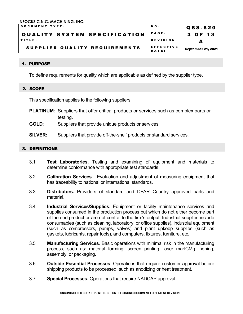| <b>IDOCUMENT TYPE:</b>              | NO.                | QSS-820                   |
|-------------------------------------|--------------------|---------------------------|
| <b>QUALITY SYSTEM SPECIFICATION</b> | <b>PAGE:</b>       | 3 OF 13                   |
| <b>ITITLE:</b>                      | REVISION:          |                           |
| SUPPLIER QUALITY REQUIREMENTS       | EFFECTIVE<br>DATE: | <b>September 21, 2021</b> |

#### 1. PURPOSE

To define requirements for quality which are applicable as defined by the supplier type.

#### 2. SCOPE

This specification applies to the following suppliers:

- **PLATINUM**: Suppliers that offer critical products or services such as complex parts or testing.
- **GOLD**: Suppliers that provide unique products or services
- **SILVER:** Suppliers that provide off-the-shelf products or standard services.

#### 3. DEFINITIONS

- 3.1 **Test Laboratories.** Testing and examining of equipment and materials to determine conformance with appropriate test standards
- 3.2 **Calibration Services**. Evaluation and adjustment of measuring equipment that has traceability to national or international standards.
- 3.3 **Distributors.** Providers of standard and DFAR Country approved parts and material.
- 3.4 **Industrial Services/Supplies**. Equipment or facility maintenance services and supplies consumed in the production process but which do not either become part of the end product or are not central to the firm's output. Industrial supplies include consumables (such as cleaning, laboratory, or office supplies), industrial equipment (such as compressors, pumps, valves) and plant upkeep supplies (such as gaskets, lubricants, repair tools), and computers, fixtures, furniture, etc.
- 3.5 **Manufacturing Services**. Basic operations with minimal risk in the manufacturing process, such as: material forming, screen printing, laser marICMg, honing. assembly, or packaging.
- 3.6 **Outside Essential Processes**, Operations that require customer approval before shipping products to be processed, such as anodizing or heat treatment.
- 3.7 **Special Processes.** Operations that require NADCAP approval.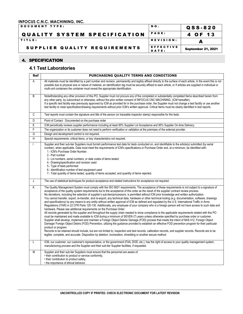| DOCUMENT TYPE:                      | NO.                | QSS-820                   |
|-------------------------------------|--------------------|---------------------------|
| <b>QUALITY SYSTEM SPECIFICATION</b> | <b>PAGE:</b>       | 4 OF 13                   |
| TITLE:                              | <b>REVISION:</b>   |                           |
| SUPPLIER QUALITY REQUIREMENTS       | EFFECTIVE<br>DATE: | <b>September 21, 2021</b> |

#### 4. SPECIFICATION

#### **4.1 Test Laboratories**

| Ref                     | PURCHASING QUALITY TERMS AND CONDITIONS                                                                                                                                                                                                                                                                                                                                                                                                                                                                                                                                                                                                                                                                                                                                                                                                                                                                                                                                                                                                                                                                                                                                                                                                                                                                                                                                                                                                                                                                                                                                                                                                                                                                                                                                                                                                                                                                       |
|-------------------------|---------------------------------------------------------------------------------------------------------------------------------------------------------------------------------------------------------------------------------------------------------------------------------------------------------------------------------------------------------------------------------------------------------------------------------------------------------------------------------------------------------------------------------------------------------------------------------------------------------------------------------------------------------------------------------------------------------------------------------------------------------------------------------------------------------------------------------------------------------------------------------------------------------------------------------------------------------------------------------------------------------------------------------------------------------------------------------------------------------------------------------------------------------------------------------------------------------------------------------------------------------------------------------------------------------------------------------------------------------------------------------------------------------------------------------------------------------------------------------------------------------------------------------------------------------------------------------------------------------------------------------------------------------------------------------------------------------------------------------------------------------------------------------------------------------------------------------------------------------------------------------------------------------------|
| A                       | All materials must be identified by a part number and revision, permanently and legibly affixed directly to the surface of each article, In the event this is not<br>possible due to physical size or nature of material, an identification tag must be securely affixed to each article, or If articles are supplied in individual or<br>multi-unit containers the container must reveal the appropriate identification.                                                                                                                                                                                                                                                                                                                                                                                                                                                                                                                                                                                                                                                                                                                                                                                                                                                                                                                                                                                                                                                                                                                                                                                                                                                                                                                                                                                                                                                                                     |
| B                       | Notwithstanding any other provision of this PO, Supplier must not procure any of the completed or substantially completed Items described herein from<br>any other party, by subcontract or otherwise, without the prior written consent of INFOCUS CNC MACHINING. (ICM hereafter).<br>If a specific test facility was previously approved by ICM as provided for in the purchase order, the Supplier must not change a test facility or use another<br>test facility to meet specification/drawing requirements without prior ICM's written approval. Critical Items must be clearly identified in test reports.                                                                                                                                                                                                                                                                                                                                                                                                                                                                                                                                                                                                                                                                                                                                                                                                                                                                                                                                                                                                                                                                                                                                                                                                                                                                                             |
| C                       | Test reports must contain the signature and title of the person (or traceable inspector stamp) responsible for the tests.                                                                                                                                                                                                                                                                                                                                                                                                                                                                                                                                                                                                                                                                                                                                                                                                                                                                                                                                                                                                                                                                                                                                                                                                                                                                                                                                                                                                                                                                                                                                                                                                                                                                                                                                                                                     |
| $\overline{\mathsf{D}}$ | Point of Contact : Documented on the purchase order                                                                                                                                                                                                                                                                                                                                                                                                                                                                                                                                                                                                                                                                                                                                                                                                                                                                                                                                                                                                                                                                                                                                                                                                                                                                                                                                                                                                                                                                                                                                                                                                                                                                                                                                                                                                                                                           |
| E                       | ICM periodically reviews supplier performance including at least 95% Supplier Lot Acceptance and 95% Supplier On-time Delivery;                                                                                                                                                                                                                                                                                                                                                                                                                                                                                                                                                                                                                                                                                                                                                                                                                                                                                                                                                                                                                                                                                                                                                                                                                                                                                                                                                                                                                                                                                                                                                                                                                                                                                                                                                                               |
| F                       | The organization or its customer does not need to perform verification or validation at the premises of the external provider.                                                                                                                                                                                                                                                                                                                                                                                                                                                                                                                                                                                                                                                                                                                                                                                                                                                                                                                                                                                                                                                                                                                                                                                                                                                                                                                                                                                                                                                                                                                                                                                                                                                                                                                                                                                |
| G                       | Design and development control is not required.                                                                                                                                                                                                                                                                                                                                                                                                                                                                                                                                                                                                                                                                                                                                                                                                                                                                                                                                                                                                                                                                                                                                                                                                                                                                                                                                                                                                                                                                                                                                                                                                                                                                                                                                                                                                                                                               |
| H                       | Special requirements, critical items, or key characteristics not required.                                                                                                                                                                                                                                                                                                                                                                                                                                                                                                                                                                                                                                                                                                                                                                                                                                                                                                                                                                                                                                                                                                                                                                                                                                                                                                                                                                                                                                                                                                                                                                                                                                                                                                                                                                                                                                    |
|                         | Supplier and their sub-tier Suppliers must furnish performance test data for tests conducted on, and identifiable to the article(s) submitted (by serial<br>number), when applicable. Data must meet the requirements of ICM's specifications or Purchase Order and, at a minimum, be identified with:<br>1.- ICM's Purchase Order Number.<br>2.- Part number<br>3.- Lot numbers, serial numbers, or date codes of items tested.<br>4.- Drawing/specification and revision used<br>5.- Type of tests performed<br>6.- Identification number of test equipment used                                                                                                                                                                                                                                                                                                                                                                                                                                                                                                                                                                                                                                                                                                                                                                                                                                                                                                                                                                                                                                                                                                                                                                                                                                                                                                                                            |
|                         | 7.- Total quantity of items tested, quantity of items accepted, and quantity of items rejected.                                                                                                                                                                                                                                                                                                                                                                                                                                                                                                                                                                                                                                                                                                                                                                                                                                                                                                                                                                                                                                                                                                                                                                                                                                                                                                                                                                                                                                                                                                                                                                                                                                                                                                                                                                                                               |
| J                       | The use of statistical techniques for product acceptance and related instructions for acceptance not required.                                                                                                                                                                                                                                                                                                                                                                                                                                                                                                                                                                                                                                                                                                                                                                                                                                                                                                                                                                                                                                                                                                                                                                                                                                                                                                                                                                                                                                                                                                                                                                                                                                                                                                                                                                                                |
| K                       | The Quality Management System must comply with the ISO 9001 requirements. The acceptance of these requirements is not subject to a signature of<br>acceptance of the quality system requirements but to the acceptance of this order as the result of the supplier contract review process.<br>No deviations, including the selection of supplier's sub-tiers/processors, is permitted without ICM prior knowledge and written authorization.<br>You cannot transfer, export, re-transfer, and re-export, any technical data, hardware or other technical tooling (e.g. documentation, software, drawings<br>and specifications) by any means to any entity without written approval of ICM as defined and requlated by the U.S. International Traffic in Arms<br>Regulations (ITAR) in 22 CFR Parts 120-130. Additionally, any employee of your company who is a foreign person will not have access to such data and<br>hardware. Please see additional requirements on the Purchase Order.<br>All records generated by the supplier and throughout the supply chain needed to show compliance to the applicable requirements related with this PO<br>must be maintained and made available to ICM during a minimum of SEVEN (7) years unless otherwise specified by purchase order or customer.<br>Supplier shall develop, implement and maintain a Foreign Object Debris/ Damage (FOD) process that meets the intent of NAS 412, Foreign Object<br>Damage/Foreign Object Debris (FOD) Prevention, utilizing the guidance provided to establish an effective FOD prevention program for their particular<br>product or program.<br>Records to be retained should include, but are not limited to, inspection and test records, calibration records, and supplier records. Records are to be<br>legible, complete, and accurate. Disposition by deletion, incineration, shredding or another secure method. |
| L                       | ICM, our customer, our customer's representative, or the government (FAA, DOD, etc.), has the right of access to your quality management system,<br>manufacturing process and the Supplier and their sub-tier Supplier facilities, if requested.                                                                                                                                                                                                                                                                                                                                                                                                                                                                                                                                                                                                                                                                                                                                                                                                                                                                                                                                                                                                                                                                                                                                                                                                                                                                                                                                                                                                                                                                                                                                                                                                                                                              |
| М                       | Supplier and their sub-tier Suppliers must ensure that the personnel are aware of:<br>• their contribution to product or service conformity,<br>• their contribution to product safety,<br>• the importance of ethical behavior.                                                                                                                                                                                                                                                                                                                                                                                                                                                                                                                                                                                                                                                                                                                                                                                                                                                                                                                                                                                                                                                                                                                                                                                                                                                                                                                                                                                                                                                                                                                                                                                                                                                                              |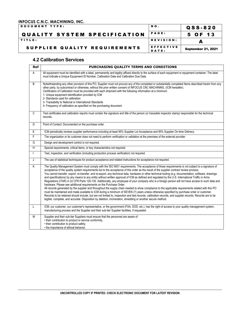| <b>DOCUMENT TYPE:</b>               | NO.          | QSS-820                   |
|-------------------------------------|--------------|---------------------------|
| <b>QUALITY SYSTEM SPECIFICATION</b> | <b>PAGE:</b> | 5 OF 13                   |
| TITLE:                              | REVISION:    |                           |
| SUPPLIER QUALITY REQUIREMENTS       | EFFECTIVE    | <b>September 21, 2021</b> |
|                                     | DATE:        |                           |

#### **4.2 Calibration Services**

| Ref                     | PURCHASING QUALITY TERMS AND CONDITIONS                                                                                                                                                                                                                                                                                                                                                                                                                                                                                                                                                                                                                                                                                                                                                                                                                                                                                                                                                                                                                                                                                                                                                                                                                                                                                                                                                                                     |
|-------------------------|-----------------------------------------------------------------------------------------------------------------------------------------------------------------------------------------------------------------------------------------------------------------------------------------------------------------------------------------------------------------------------------------------------------------------------------------------------------------------------------------------------------------------------------------------------------------------------------------------------------------------------------------------------------------------------------------------------------------------------------------------------------------------------------------------------------------------------------------------------------------------------------------------------------------------------------------------------------------------------------------------------------------------------------------------------------------------------------------------------------------------------------------------------------------------------------------------------------------------------------------------------------------------------------------------------------------------------------------------------------------------------------------------------------------------------|
| A                       | All equipment must be identified with a label, permanently and legibly affixed directly to the surface of each equipment or equipment container. The label<br>must indicate a Unique Equipment ID Number, Calibration Date and Calibration Due Date.                                                                                                                                                                                                                                                                                                                                                                                                                                                                                                                                                                                                                                                                                                                                                                                                                                                                                                                                                                                                                                                                                                                                                                        |
| B                       | Notwithstanding any other provision of this PO, Supplier must not procure any of the completed or substantially completed Items described herein from any<br>other party, by subcontract or otherwise, without the prior written consent of INFOCUS CNC MACHINING. (ICM hereafter).<br>Certification of Calibration must be provided with each shipment with the following information at a minimum:<br>1- Unique equipment identification provided by ICM<br>2- Standards used for calibration<br>3- Traceability to National or International Standards<br>4- Frequency of calibration as specified on the purchasing document.                                                                                                                                                                                                                                                                                                                                                                                                                                                                                                                                                                                                                                                                                                                                                                                           |
| C                       | Test certificates and calibration reports must contain the signature and title of the person (or traceable inspector stamp) responsible for the technical<br>records.                                                                                                                                                                                                                                                                                                                                                                                                                                                                                                                                                                                                                                                                                                                                                                                                                                                                                                                                                                                                                                                                                                                                                                                                                                                       |
| D                       | Point of Contact: Documented on the purchase order.                                                                                                                                                                                                                                                                                                                                                                                                                                                                                                                                                                                                                                                                                                                                                                                                                                                                                                                                                                                                                                                                                                                                                                                                                                                                                                                                                                         |
| E                       | ICM periodically reviews supplier performance including at least 95% Supplier Lot Acceptance and 95% Supplier On-time Delivery;                                                                                                                                                                                                                                                                                                                                                                                                                                                                                                                                                                                                                                                                                                                                                                                                                                                                                                                                                                                                                                                                                                                                                                                                                                                                                             |
| $\overline{F}$          | The organization or its customer does not need to perform verification or validation at the premises of the external provider.                                                                                                                                                                                                                                                                                                                                                                                                                                                                                                                                                                                                                                                                                                                                                                                                                                                                                                                                                                                                                                                                                                                                                                                                                                                                                              |
| G                       | Design and development control is not required.                                                                                                                                                                                                                                                                                                                                                                                                                                                                                                                                                                                                                                                                                                                                                                                                                                                                                                                                                                                                                                                                                                                                                                                                                                                                                                                                                                             |
| $\overline{\mathsf{H}}$ | Special requirements, critical items, or key characteristics not required.                                                                                                                                                                                                                                                                                                                                                                                                                                                                                                                                                                                                                                                                                                                                                                                                                                                                                                                                                                                                                                                                                                                                                                                                                                                                                                                                                  |
|                         | Test, inspection, and verification (including production process verification) not required.                                                                                                                                                                                                                                                                                                                                                                                                                                                                                                                                                                                                                                                                                                                                                                                                                                                                                                                                                                                                                                                                                                                                                                                                                                                                                                                                |
| J                       | The use of statistical techniques for product acceptance and related instructions for acceptance not required.                                                                                                                                                                                                                                                                                                                                                                                                                                                                                                                                                                                                                                                                                                                                                                                                                                                                                                                                                                                                                                                                                                                                                                                                                                                                                                              |
| K                       | The Quality Management System must comply with the ISO 9001 requirements. The acceptance of these requirements is not subject to a signature of<br>acceptance of the quality system requirements but to the acceptance of this order as the result of the supplier contract review process.<br>You cannot transfer, export, re-transfer, and re-export, any technical data, hardware or other technical tooling (e.g. documentation, software, drawings<br>and specifications) by any means to any entity without written approval of ICM as defined and regulated by the U.S. International Traffic in Arms<br>Regulations (ITAR) in 22 CFR Parts 120-130. Additionally, any employee of your company who is a foreign person will not have access to such data and<br>hardware. Please see additional requirements on the Purchase Order.<br>All records generated by the supplier and throughout the supply chain needed to show compliance to the applicable requirements related with this PO<br>must be maintained and made available to ICM during a minimum of SEVEN (7) years unless otherwise specified by purchase order or customer.<br>Records to be retained should include, but are not limited to, inspection and test records, calibration records, and supplier records. Records are to be<br>legible, complete, and accurate. Disposition by deletion, incineration, shredding or another secure method. |
| L                       | ICM, our customer, our customer's representative, or the government (FAA, DOD, etc.), has the right of access to your quality management system,<br>manufacturing process and the Supplier and their sub-tier Supplier facilities, if requested.                                                                                                                                                                                                                                                                                                                                                                                                                                                                                                                                                                                                                                                                                                                                                                                                                                                                                                                                                                                                                                                                                                                                                                            |
| M                       | Supplier and their sub-tier Suppliers must ensure that the personnel are aware of:<br>• their contribution to product or service conformity,<br>• their contribution to product safety,<br>• the importance of ethical behavior.                                                                                                                                                                                                                                                                                                                                                                                                                                                                                                                                                                                                                                                                                                                                                                                                                                                                                                                                                                                                                                                                                                                                                                                            |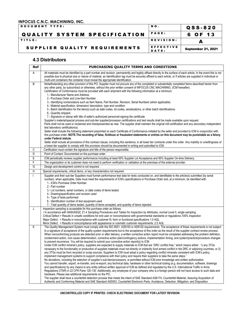| DOCUMENT TYPE:                | NO.                | QSS-820                   |
|-------------------------------|--------------------|---------------------------|
| QUALITY SYSTEM SPECIFICATION  | <b>PAGE:</b>       | 6 OF 13                   |
| TITLE:                        | REVISION:          |                           |
| SUPPLIER QUALITY REQUIREMENTS | EFFECTIVE<br>DATE: | <b>September 21, 2021</b> |

#### **4.3 Distributors**

| Ref | PURCHASING QUALITY TERMS AND CONDITIONS                                                                                                                                                                                                                                                                                 |
|-----|-------------------------------------------------------------------------------------------------------------------------------------------------------------------------------------------------------------------------------------------------------------------------------------------------------------------------|
| Α   | All materials must be identified by a part number and revision, permanently and legibly affixed directly to the surface of each article, In the event this is not                                                                                                                                                       |
|     | possible due to physical size or nature of material, an identification tag must be securely affixed to each article, or If articles are supplied in individual or                                                                                                                                                       |
|     | multi-unit containers the container must reveal the appropriate identification.                                                                                                                                                                                                                                         |
| B   | Notwithstanding any other provision of this PO, Supplier must not procure any of the completed or substantially completed Items described herein from<br>any other party, by subcontract or otherwise, without the prior written consent of INFOCUS CNC MACHINING. (ICM hereafter).                                     |
|     | Certification of Conformance must be provided with each shipment with the following information at a minimum:                                                                                                                                                                                                           |
|     | 1.- Manufacturer Name and Address                                                                                                                                                                                                                                                                                       |
|     | 2.- Purchase Order and Line-Item Number                                                                                                                                                                                                                                                                                 |
|     | 3.- Identifying nomenclature such as Item Name, Part Number, Revision, Serial Numbers (when applicable)                                                                                                                                                                                                                 |
|     | 4.- Material specification, dimension/ description, type and condition                                                                                                                                                                                                                                                  |
|     | 5.- Batch identification for the item(s) such as date codes, lot codes, serializations, or other batch identifications.<br>6.- Quantity shipped                                                                                                                                                                         |
|     | 7.- Signature or stamp with title of seller's authorized personnel signing the certificate.                                                                                                                                                                                                                             |
|     | Supplier's material/special process and sub-tier supplier/processor certifications and test results shall be made available upon request.                                                                                                                                                                               |
|     | Parts shall not be used or reclaimed and misrepresented as new. The supplier shall maintain the original mill certification and any secondary independent                                                                                                                                                               |
|     | test laboratory certification(s)                                                                                                                                                                                                                                                                                        |
|     | Seller shall include the following statement preprinted on each Certificate of Conformance initiated by the seller and provided to ICM in conjunction with                                                                                                                                                              |
|     | this purchase order: NOTE: The recording of false, fictitious or fraudulent statements or entries on this document may be punishable as a felony<br>under Federal statute.                                                                                                                                              |
|     | Seller shall include all provisions of this contract clause, including this sentence, in all lower tier contracts under this order. Any inability or unwillingness of                                                                                                                                                   |
|     | a lower-tier supplier to comply with this provision should be documented in writing and submitted to ICM.                                                                                                                                                                                                               |
| C   | Certification must contain the signature and title of the person responsible.                                                                                                                                                                                                                                           |
| D   | Point of Contact: Documented on the purchase order.                                                                                                                                                                                                                                                                     |
| Е   | ICM periodically reviews supplier performance including at least 95% Supplier Lot Acceptance and 95% Supplier On-time Delivery;                                                                                                                                                                                         |
| F   | The organization or its customer does not need to perform verification or validation at the premises of the external provider.                                                                                                                                                                                          |
| G   | Design and development control is not required.                                                                                                                                                                                                                                                                         |
| H   | Special requirements, critical items, or key characteristics not required.                                                                                                                                                                                                                                              |
| I.  | Supplier and their sub-tier Suppliers must furnish performance test data for tests conducted on, and identifiable to the article(s) submitted (by serial                                                                                                                                                                |
|     | number), when applicable. Data must meet the requirements of ICM's specifications or Purchase Order and, at a minimum, be identified with:                                                                                                                                                                              |
|     | 1.- ICM's Purchase Order Number.<br>2.- Part number                                                                                                                                                                                                                                                                     |
|     | 3.- Lot numbers, serial numbers, or date codes of items tested.                                                                                                                                                                                                                                                         |
|     | 4.- Drawing/specification and revision used                                                                                                                                                                                                                                                                             |
|     | 5.- Type of tests performed                                                                                                                                                                                                                                                                                             |
|     | 6.- Identification number of test equipment used                                                                                                                                                                                                                                                                        |
|     | 7.- Total quantity of items tested, quantity of items accepted, and quantity of items rejected.                                                                                                                                                                                                                         |
| J   | Inspection sampling is acceptable for this purchase order as follows:<br>· In accordance with ANSI/ASQC Z1.4 Sampling Procedures and Tables for Inspection by Attributes, normal Level II, single sampling.                                                                                                             |
|     | Critical Defect = Results in unsafe conditions for end user or noncompliance with governmental standards or regulations.100% Inspection                                                                                                                                                                                 |
|     | Major Defect. = Results in noncompliance with customer fit, form or functional specifications 1.0 AQL                                                                                                                                                                                                                   |
|     | Minor Defect. = Results in noncompliance with appearance or cosmetic customer requirements. 2.5 AQL                                                                                                                                                                                                                     |
| Κ   | The Quality Management System must comply with the ISO 9001, AS9100 or AS9120 requirements. The acceptance of these requirements is not subject                                                                                                                                                                         |
|     | to a signature of acceptance of the quality system requirements but to the acceptance of this order as the result of the supplier contract review process.<br>When nonconforming products are detected prior or after delivery, a written corrective action report must be completed addressing the problem definition, |
|     | containment action, root cause determination, corrective action plan/contingency actions, implementation timing, and system/practice/procedure changes                                                                                                                                                                  |
|     | to prevent recurrence. You will be required to submit your corrective action report(s) to ICM.                                                                                                                                                                                                                          |
|     | Under ICM conflict mineral's policy, suppliers are expected to supply materials to ICM that are "DRC conflict free," which means either: 1) any 3TGs                                                                                                                                                                    |
|     | necessary to the functionality or production of supplied materials must not directly or indirectly fund armed conflict in the DRC or adjoining countries, or 2)                                                                                                                                                         |
|     | any 3TGs must be from recycled or scrap sources. Suppliers to ICM must adopt a policy regarding conflict minerals consistent with ICM's policy,                                                                                                                                                                         |
|     | implement management systems to support compliance with their policy and require their suppliers to take the same steps."<br>No deviations, including the selection of supplier's sub-tiers/processors, is permitted without ICM prior knowledge and written authorization.                                             |
|     | You cannot transfer, export, re-transfer, and re-export, any technical data, hardware or other technical tooling (e.g. documentation, software, drawings                                                                                                                                                                |
|     | and specifications) by any means to any entity without written approval of ICM as defined and regulated by the U.S. International Traffic in Arms                                                                                                                                                                       |
|     | Regulations (ITAR) in 22 CFR Parts 120-130. Additionally, any employee of your company who is a foreign person will not have access to such data and                                                                                                                                                                    |
|     | hardware. Please see additional requirements on the PO                                                                                                                                                                                                                                                                  |
|     | The supplier shall have a counterfeit detection process that meets the intent of SAE Standard AS6174, Counterfeit Materiel; Assuring Acquisition of                                                                                                                                                                     |
|     | Authentic and Conforming Materiel and SAE Standard AS5553, Counterfeit Electronic Parts, Avoidance, Detection, Mitigation, and Disposition.                                                                                                                                                                             |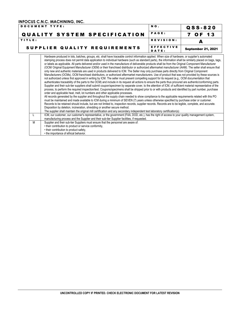| <b>DOCUMENT TYPE:</b>               | NO.                | QSS-820                   |
|-------------------------------------|--------------------|---------------------------|
| <b>QUALITY SYSTEM SPECIFICATION</b> | <b>PAGE:</b>       | 7 OF 13                   |
| TITLE:                              | REVISION:          |                           |
| SUPPLIER QUALITY REQUIREMENTS       | EFFECTIVE<br>DATE: | <b>September 21, 2021</b> |
|                                     |                    |                           |

Hardware produced in lots, batches, groups, etc. shall have traceable control information applied. When size of hardware, or supplier's automated stamping process does not permit data application to individual hardware (such as standard parts), the information shall be similarly placed on bags, tags, or labels as applicable. All parts delivered and/or used in the manufacture of deliverable products shall be from the Original Component Manufacturer (OCM/ Original Equipment Manufacturer (OEM) or their franchised distributor or authorized aftermarket manufacturer (AAM). The seller shall ensure that only new and authentic materials are used in products delivered to ICM. The Seller may only purchase parts directly from Original Component Manufacturers (OCMs), OCM franchised distributors, or authorized aftermarket manufacturers. Use of product that was not provided by these sources is not authorized unless first approved in writing by ICM. The seller must present compelling support for its request (e.g., OCM documentation that authenticates traceability of the parts to the OCM) and include in its request all actions to ensure the parts thus procured are authentic/conforming parts. Supplier and their sub-tier suppliers shall submit coupon/specimen by separate cover, to the attention of ICM, of sufficient material representative of the process, to perform the required inspection/test. Coupons/specimens shall be shipped prior to or with products and identified by part number, purchase order and applicable heat, melt, lot numbers and other applicable processes. All records generated by the supplier and throughout the supply chain needed to show compliance to the applicable requirements related with this PO must be maintained and made available to ICM during a minimum of SEVEN (7) years unless otherwise specified by purchase order or customer. Records to be retained should include, but are not limited to, inspection records, supplier records. Records are to be legible, complete, and accurate. Disposition by deletion, incineration, shredding or another secure method. The supplier shall maintain the original mill certification and any secondary independent test laboratory certification(s) L CM, our customer, our customer's representative, or the government (FAA, DOD, etc.), has the right of access to your quality management system, manufacturing process and the Supplier and their sub-tier Supplier facilities, if requested. M Supplier and their sub-tier Suppliers must ensure that the personnel are aware of: • their contribution to product or service conformity, • their contribution to product safety,

• the importance of ethical behavior.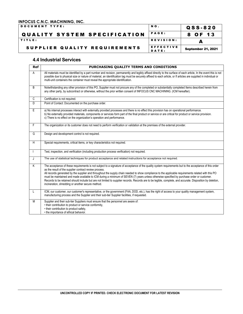### **INFOCUS C.N.C. MACHINING, INC.**<br>|DOCUMENT TYPE:

NO. QSS-820 QUALITY SYSTEM SPECIFICATION PAGE: | 8 OF 13 TITLE: A REVISION: A REVISION: SUPPLIER QUALITY REQUIREMENTS EFFECTIVE September 21, 2021

#### **4.4 Industrial Services**

| <b>Ref</b> | PURCHASING QUALITY TERMS AND CONDITIONS                                                                                                                                                                                                                                                                                                                                                                                                                                                                                                                                                                                                                                                                                                   |
|------------|-------------------------------------------------------------------------------------------------------------------------------------------------------------------------------------------------------------------------------------------------------------------------------------------------------------------------------------------------------------------------------------------------------------------------------------------------------------------------------------------------------------------------------------------------------------------------------------------------------------------------------------------------------------------------------------------------------------------------------------------|
| A          | All materials must be identified by a part number and revision, permanently and legibly affixed directly to the surface of each article, In the event this is not<br>possible due to physical size or nature of material, an identification tag must be securely affixed to each article, or If articles are supplied in individual or<br>multi-unit containers the container must reveal the appropriate identification.                                                                                                                                                                                                                                                                                                                 |
| B          | Notwithstanding any other provision of this PO, Supplier must not procure any of the completed or substantially completed Items described herein from<br>any other party, by subcontract or otherwise, without the prior written consent of INFOCUS CNC MACHINING. (ICM hereafter).                                                                                                                                                                                                                                                                                                                                                                                                                                                       |
| C          | Certification is not required.                                                                                                                                                                                                                                                                                                                                                                                                                                                                                                                                                                                                                                                                                                            |
| D          | Point of Contact: Documented on the purchase order.                                                                                                                                                                                                                                                                                                                                                                                                                                                                                                                                                                                                                                                                                       |
| E          | a) No internal processes interact with externally provided processes and there is no effect this provision has on operational performance.<br>b) No externally provided materials, components or services form part of the final product or service or are critical for product or service provision.<br>c) There is no effect on the organization's operation and performance.                                                                                                                                                                                                                                                                                                                                                           |
| F.         | The organization or its customer does not need to perform verification or validation at the premises of the external provider.                                                                                                                                                                                                                                                                                                                                                                                                                                                                                                                                                                                                            |
| G          | Design and development control is not required.                                                                                                                                                                                                                                                                                                                                                                                                                                                                                                                                                                                                                                                                                           |
| H          | Special requirements, critical items, or key characteristics not required.                                                                                                                                                                                                                                                                                                                                                                                                                                                                                                                                                                                                                                                                |
|            | Test, inspection, and verification (including production process verification) not required.                                                                                                                                                                                                                                                                                                                                                                                                                                                                                                                                                                                                                                              |
| J          | The use of statistical techniques for product acceptance and related instructions for acceptance not required.                                                                                                                                                                                                                                                                                                                                                                                                                                                                                                                                                                                                                            |
| K          | The acceptance of these requirements is not subject to a signature of acceptance of the quality system requirements but to the acceptance of this order<br>as the result of the supplier contract review process.<br>All records generated by the supplier and throughout the supply chain needed to show compliance to the applicable requirements related with this PO<br>must be maintained and made available to ICM during a minimum of SEVEN (7) years unless otherwise specified by purchase order or customer.<br>Records to be retained should include but are not limited to supplier records. Records are to be legible, complete, and accurate. Disposition by deletion,<br>incineration, shredding or another secure method. |
| L          | ICM, our customer, our customer's representative, or the government (FAA, DOD, etc.), has the right of access to your quality management system,<br>manufacturing process and the Supplier and their sub-tier Supplier facilities, if requested.                                                                                                                                                                                                                                                                                                                                                                                                                                                                                          |
| M          | Supplier and their sub-tier Suppliers must ensure that the personnel are aware of:<br>• their contribution to product or service conformity,<br>• their contribution to product safety,<br>• the importance of ethical behavior.                                                                                                                                                                                                                                                                                                                                                                                                                                                                                                          |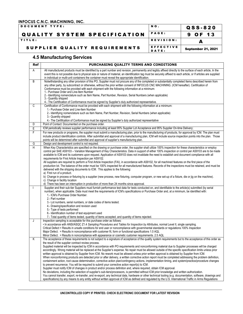DOCUMENT TYPE:  $\begin{matrix} 0.958 \\ -0.958 \\ -0.958 \end{matrix}$ QUALITY SYSTEM SPECIFICATION PAGE: 9 OF 13 TITLE: A REVISION: A REVISION: SUPPLIER QUALITY REQUIREMENTS EFFECTIVE September 21, 2021

#### **4.5 Manufacturing Services**

| Ref | PURCHASING QUALITY TERMS AND CONDITIONS                                                                                                                                                                                                                                                                                                                                                                                                                              |
|-----|----------------------------------------------------------------------------------------------------------------------------------------------------------------------------------------------------------------------------------------------------------------------------------------------------------------------------------------------------------------------------------------------------------------------------------------------------------------------|
| Α   | All manufactured products must be identified by a part number and revision, permanently and legibly affixed directly to the surface of each article, In the<br>event this is not possible due to physical size or nature of material, an identification tag must be securely affixed to each article, or If articles are supplied<br>in individual or multi-unit containers the container must reveal the appropriate identification.                                |
| B   | Notwithstanding any other provision of this PO, Supplier must not procure any of the completed or substantially completed Items described herein from<br>any other party, by subcontract or otherwise, without the prior written consent of INFOCUS CNC MACHINING. (ICM hereafter). Certification of<br>Conformance must be provided with each shipment with the following information at a minimum:                                                                 |
|     | 1.- Purchase Order and Line-Item Number<br>2.- Identifying nomenclature such as Item Name, Part Number, Revision, Serial Numbers (when applicable)                                                                                                                                                                                                                                                                                                                   |
|     | 3.- Quantity shipped<br>4.- The Certification of Conformance must be signed by Supplier's duly authorized representative.                                                                                                                                                                                                                                                                                                                                            |
| C   | Certification of Conformance must be provided with each shipment with the following information at a minimum:                                                                                                                                                                                                                                                                                                                                                        |
|     | 1.- Purchase Order and Line-Item Number                                                                                                                                                                                                                                                                                                                                                                                                                              |
|     | 2.- Identifying nomenclature such as Item Name, Part Number, Revision, Serial Numbers (when applicable)<br>3 - Quantity shipped                                                                                                                                                                                                                                                                                                                                      |
|     | 4.- The Certification of Conformance must be signed by Supplier's duly authorized representative                                                                                                                                                                                                                                                                                                                                                                     |
| D   | Point of Contact: Documented on the purchase order.                                                                                                                                                                                                                                                                                                                                                                                                                  |
| Ε   | ICM periodically reviews supplier performance including at least 95% Supplier Lot Acceptance and 95% Supplier On-time Delivery;                                                                                                                                                                                                                                                                                                                                      |
| F   | For new products or programs, the supplier must submit a manufacturing plan, prior to the manufacturing of products, for approval by ICM. The plan must                                                                                                                                                                                                                                                                                                              |
|     | include product identification controls. After submittal and approval of a manufacturing plan, ICM will include source inspection points into the plan. Those<br>points will be determined after submittal and approval of supplier's manufacturing plan.                                                                                                                                                                                                            |
| G   | Design and development control is not required.                                                                                                                                                                                                                                                                                                                                                                                                                      |
| H   | When Key Characteristics are specified on the drawing or purchase order, the supplier shall utilize 100% inspection for these characteristics or employ<br>control per SAE AS9103 - Variation Management of Key Characteristics. Data in support of either 100% inspection or control per AS9103 are to be made<br>available to ICM and its customers upon request. Application of AS9103 does not invalidate the need to establish and document compliance with all |
|     | requirements for First Article Inspection per AS9102.<br>All suppliers are required to perform a First Article Inspection (FAI), in accordance with AS9102, for all machined features on the first piece of the                                                                                                                                                                                                                                                      |
|     | production lot. The balance of the order must be 100% inspected for all manufactured features. Records of the inspections must be retained, and must be<br>delivered with the shipping documents to ICM. This applies to the following:<br>a) First run of a product.                                                                                                                                                                                                |
|     | b) Change in process or fixturing by a supplier (new process, new fixturing, computer program, or new set-up of a fixture, die or jig on the machine).<br>c) Change in facility location                                                                                                                                                                                                                                                                             |
|     | d) There has been an interruption in production of more than 24 months since approval.                                                                                                                                                                                                                                                                                                                                                                               |
|     | Supplier and their sub-tier Suppliers must furnish performance test data for tests conducted on, and identifiable to the article(s) submitted (by serial<br>number), when applicable. Data must meet the requirements of ICM's specifications or Purchase Order and, at a minimum, be identified with:<br>1.- ICM's Purchase Order Number.                                                                                                                           |
|     | 2.- Part number                                                                                                                                                                                                                                                                                                                                                                                                                                                      |
|     | 3.- Lot numbers, serial numbers, or date codes of items tested.                                                                                                                                                                                                                                                                                                                                                                                                      |
|     | 4.- Drawing/specification and revision used                                                                                                                                                                                                                                                                                                                                                                                                                          |
|     | 5.- Type of tests performed                                                                                                                                                                                                                                                                                                                                                                                                                                          |
|     | 6.- Identification number of test equipment used                                                                                                                                                                                                                                                                                                                                                                                                                     |
|     | 7.- Total quantity of items tested, quantity of items accepted, and quantity of items rejected.                                                                                                                                                                                                                                                                                                                                                                      |
| J   | Inspection sampling is acceptable for this purchase order as follows:<br>. In accordance with ANSI/ASQC Z1.4 Sampling Procedures and Tables for Inspection by Attributes, normal Level II, single sampling.                                                                                                                                                                                                                                                          |
|     | Critical Defect = Results in unsafe conditions for end user or noncompliance with governmental standards or regulations.100% Inspection                                                                                                                                                                                                                                                                                                                              |
|     | Major Defect. = Results in noncompliance with customer fit, form or functional specifications 1.0 AQL                                                                                                                                                                                                                                                                                                                                                                |
|     | Minor Defect. = Results in noncompliance with appearance or cosmetic customer requirements. 2.5 AQL                                                                                                                                                                                                                                                                                                                                                                  |
| Κ   | The acceptance of these requirements is not subject to a signature of acceptance of the quality system requirements but to the acceptance of this order as<br>the result of the supplier contract review process.                                                                                                                                                                                                                                                    |
|     | Supplied material will be inspected by ICM in accordance with PO requirements and nonconforming material due to Supplier processes will be charged                                                                                                                                                                                                                                                                                                                   |
|     | accordingly. Wrong material will be replaced at the Supplier's expense. No repair must be allowed outside of the specific specification limits unless prior<br>written approval is obtained by Supplier from ICM. No rework must be allowed unless prior written approval is obtained by Supplier from ICM.                                                                                                                                                          |
|     | When nonconforming products are detected prior or after delivery, a written corrective action report must be completed addressing the problem definition,                                                                                                                                                                                                                                                                                                            |
|     | containment action, root cause determination, corrective action plan/contingency actions, implementation timing, and system/practice/procedure changes<br>to prevent recurrence. You will be required to submit your corrective action report(s) to ICM.                                                                                                                                                                                                             |
|     | Supplier must notify ICM of changes in product and/or process definition and, where required, obtain ICM approval.                                                                                                                                                                                                                                                                                                                                                   |
|     | No deviations, including the selection of supplier's sub-tiers/processors, is permitted without ICM prior knowledge and written authorization.                                                                                                                                                                                                                                                                                                                       |
|     | You cannot transfer, export, re-transfer, and re-export, any technical data, hardware or other technical tooling (e.g. documentation, software, drawings and<br>specifications) by any means to any entity without written approval of ICM as defined and regulated by the U.S. International Traffic in Arms Regulations                                                                                                                                            |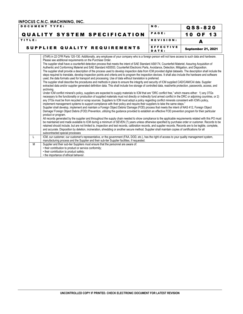|        | <b>DOCUMENT TYPE:</b>                                                                                                                                                                                                                                                                                                                                                                                                                                                                                                                                                                                                                                                                                                                                                                                                                                                                                                                                                                                                                                                                                                                                                                                                                                                                                                                                                                                                                                                                                                                                                                                                                                                                                                                                                                                                                                                                                                                                                                                                                                                                                                                                                                                                                                                                                                                                                                                                                                                                                                                                                                                                                                                                                                                                                                                                                                                                                                  | NO.                       | $QSS - 820$               |
|--------|------------------------------------------------------------------------------------------------------------------------------------------------------------------------------------------------------------------------------------------------------------------------------------------------------------------------------------------------------------------------------------------------------------------------------------------------------------------------------------------------------------------------------------------------------------------------------------------------------------------------------------------------------------------------------------------------------------------------------------------------------------------------------------------------------------------------------------------------------------------------------------------------------------------------------------------------------------------------------------------------------------------------------------------------------------------------------------------------------------------------------------------------------------------------------------------------------------------------------------------------------------------------------------------------------------------------------------------------------------------------------------------------------------------------------------------------------------------------------------------------------------------------------------------------------------------------------------------------------------------------------------------------------------------------------------------------------------------------------------------------------------------------------------------------------------------------------------------------------------------------------------------------------------------------------------------------------------------------------------------------------------------------------------------------------------------------------------------------------------------------------------------------------------------------------------------------------------------------------------------------------------------------------------------------------------------------------------------------------------------------------------------------------------------------------------------------------------------------------------------------------------------------------------------------------------------------------------------------------------------------------------------------------------------------------------------------------------------------------------------------------------------------------------------------------------------------------------------------------------------------------------------------------------------------|---------------------------|---------------------------|
|        | <b>QUALITY SYSTEM SPECIFICATION</b>                                                                                                                                                                                                                                                                                                                                                                                                                                                                                                                                                                                                                                                                                                                                                                                                                                                                                                                                                                                                                                                                                                                                                                                                                                                                                                                                                                                                                                                                                                                                                                                                                                                                                                                                                                                                                                                                                                                                                                                                                                                                                                                                                                                                                                                                                                                                                                                                                                                                                                                                                                                                                                                                                                                                                                                                                                                                                    | PAGE:                     | 10<br>13<br>O F           |
| TITLE: |                                                                                                                                                                                                                                                                                                                                                                                                                                                                                                                                                                                                                                                                                                                                                                                                                                                                                                                                                                                                                                                                                                                                                                                                                                                                                                                                                                                                                                                                                                                                                                                                                                                                                                                                                                                                                                                                                                                                                                                                                                                                                                                                                                                                                                                                                                                                                                                                                                                                                                                                                                                                                                                                                                                                                                                                                                                                                                                        | REVISION:                 | А                         |
|        | SUPPLIER QUALITY REQUIREMENTS                                                                                                                                                                                                                                                                                                                                                                                                                                                                                                                                                                                                                                                                                                                                                                                                                                                                                                                                                                                                                                                                                                                                                                                                                                                                                                                                                                                                                                                                                                                                                                                                                                                                                                                                                                                                                                                                                                                                                                                                                                                                                                                                                                                                                                                                                                                                                                                                                                                                                                                                                                                                                                                                                                                                                                                                                                                                                          | <b>EFFECTIVE</b><br>DATE: | <b>September 21, 2021</b> |
|        | (ITAR) in 22 CFR Parts 120-130. Additionally, any employee of your company who is a foreign person will not have access to such data and hardware.<br>Please see additional requirements on the Purchase Order.<br>The supplier shall have a counterfeit detection process that meets the intent of SAE Standard AS6174, Counterfeit Materiel; Assuring Acquisition of<br>Authentic and Conforming Materiel and SAE Standard AS5553, Counterfeit Electronic Parts, Avoidance, Detection, Mitigation, and Disposition.<br>The supplier shall provide a description of the process used to develop inspection data from ICM provided digital datasets. The description shall include the<br>steps required to translate, develop inspection points and criteria and to program the inspection devices. It shall also include the hardware and software<br>used, the data formats used for transport and processing. Use of data without translation is preferred.<br>The supplier shall describe the procedures and methods in place to ensure the integrity and security of ICM supplied CAD/CAM/CAI data. Supplier<br>extracted data and/or supplier generated definition data. This shall include live storage of controlled data, read/write protection, passwords, access, and<br>archiving.<br>Under ICM conflict mineral's policy, suppliers are expected to supply materials to ICM that are "DRC conflict free," which means either: 1) any 3TGs<br>necessary to the functionality or production of supplied materials must not directly or indirectly fund armed conflict in the DRC or adjoining countries, or 2)<br>any 3TGs must be from recycled or scrap sources. Suppliers to ICM must adopt a policy regarding conflict minerals consistent with ICM's policy,<br>implement management systems to support compliance with their policy and require their suppliers to take the same steps."<br>Supplier shall develop, implement and maintain a Foreign Object Debris/ Damage (FOD) process that meets the intent of NAS 412, Foreign Object<br>Damage/Foreign Object Debris (FOD) Prevention, utilizing the quidance provided to establish an effective FOD prevention program for their particular<br>product or program.<br>All records generated by the supplier and throughout the supply chain needed to show compliance to the applicable requirements related with this PO must<br>be maintained and made available to ICM during a minimum of SEVEN (7) years unless otherwise specified by purchase order or customer. Records to be<br>retained should include, but are not limited to, inspection and test records, calibration records, and supplier records. Records are to be legible, complete,<br>and accurate. Disposition by deletion, incineration, shredding or another secure method. Supplier shall maintain copies of certifications for all<br>subcontracted special processes |                           |                           |
| L      | ICM, our customer, our customer's representative, or the government (FAA, DOD, etc.), has the right of access to your quality management system,<br>manufacturing process and the Supplier and their sub-tier Supplier facilities, if requested.                                                                                                                                                                                                                                                                                                                                                                                                                                                                                                                                                                                                                                                                                                                                                                                                                                                                                                                                                                                                                                                                                                                                                                                                                                                                                                                                                                                                                                                                                                                                                                                                                                                                                                                                                                                                                                                                                                                                                                                                                                                                                                                                                                                                                                                                                                                                                                                                                                                                                                                                                                                                                                                                       |                           |                           |
| M      | Supplier and their sub-tier Suppliers must ensure that the personnel are aware of:<br>• their contribution to product or service conformity;<br>• their contribution to product safety;<br>• the importance of ethical behavior.                                                                                                                                                                                                                                                                                                                                                                                                                                                                                                                                                                                                                                                                                                                                                                                                                                                                                                                                                                                                                                                                                                                                                                                                                                                                                                                                                                                                                                                                                                                                                                                                                                                                                                                                                                                                                                                                                                                                                                                                                                                                                                                                                                                                                                                                                                                                                                                                                                                                                                                                                                                                                                                                                       |                           |                           |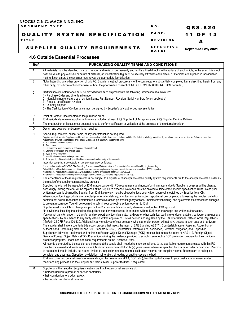| <b>IDOCUMENT TYPE:</b>              | NO.                | Q S S - 8 2 0             |
|-------------------------------------|--------------------|---------------------------|
| <b>QUALITY SYSTEM SPECIFICATION</b> | <b>PAGE:</b>       | 11 OF 13                  |
| <b>ITITLE:</b>                      | REVISION:          |                           |
| SUPPLIER QUALITY REQUIREMENTS       | EFFECTIVE<br>DATE: | <b>September 21, 2021</b> |

#### **4.6 Outside Essential Processes**

| Ref         | PURCHASING QUALITY TERMS AND CONDITIONS                                                                                                                                                                                                                                                                                                                                                                                                                                                                                                                                                                                                                                                                                                                                                                                                                                                                                                                                                                                                                                                                                                                                                                                                                                                                                                                                                                                                                                                                                                                                                                                                                                                                                                                                                                                                                                                                                                                                                                                                                                                                                                                                                                                                                                                                                                                                                                                                                                                                                                                                                                                                                                                                                                                                                                                                                                                                                                                                                                                                                                                                                                                     |
|-------------|-------------------------------------------------------------------------------------------------------------------------------------------------------------------------------------------------------------------------------------------------------------------------------------------------------------------------------------------------------------------------------------------------------------------------------------------------------------------------------------------------------------------------------------------------------------------------------------------------------------------------------------------------------------------------------------------------------------------------------------------------------------------------------------------------------------------------------------------------------------------------------------------------------------------------------------------------------------------------------------------------------------------------------------------------------------------------------------------------------------------------------------------------------------------------------------------------------------------------------------------------------------------------------------------------------------------------------------------------------------------------------------------------------------------------------------------------------------------------------------------------------------------------------------------------------------------------------------------------------------------------------------------------------------------------------------------------------------------------------------------------------------------------------------------------------------------------------------------------------------------------------------------------------------------------------------------------------------------------------------------------------------------------------------------------------------------------------------------------------------------------------------------------------------------------------------------------------------------------------------------------------------------------------------------------------------------------------------------------------------------------------------------------------------------------------------------------------------------------------------------------------------------------------------------------------------------------------------------------------------------------------------------------------------------------------------------------------------------------------------------------------------------------------------------------------------------------------------------------------------------------------------------------------------------------------------------------------------------------------------------------------------------------------------------------------------------------------------------------------------------------------------------------------------|
| Α           | All materials must be identified by a part number and revision, permanently and legibly affixed directly to the surface of each article, In the event this is not<br>possible due to physical size or nature of material, an identification tag must be securely affixed to each article, or If articles are supplied in individual or<br>multi-unit containers the container must reveal the appropriate identification.                                                                                                                                                                                                                                                                                                                                                                                                                                                                                                                                                                                                                                                                                                                                                                                                                                                                                                                                                                                                                                                                                                                                                                                                                                                                                                                                                                                                                                                                                                                                                                                                                                                                                                                                                                                                                                                                                                                                                                                                                                                                                                                                                                                                                                                                                                                                                                                                                                                                                                                                                                                                                                                                                                                                   |
| B           | Notwithstanding any other provision of this PO, Supplier must not procure any of the completed or substantially completed Items described herein from any<br>other party, by subcontract or otherwise, without the prior written consent of INFOCUS CNC MACHINING. (ICM hereafter).                                                                                                                                                                                                                                                                                                                                                                                                                                                                                                                                                                                                                                                                                                                                                                                                                                                                                                                                                                                                                                                                                                                                                                                                                                                                                                                                                                                                                                                                                                                                                                                                                                                                                                                                                                                                                                                                                                                                                                                                                                                                                                                                                                                                                                                                                                                                                                                                                                                                                                                                                                                                                                                                                                                                                                                                                                                                         |
| $\mathbb C$ | Certification of Conformance must be provided with each shipment with the following information at a minimum:<br>1.- Purchase Order and Line Item Number<br>2.- Identifying nomenclature such as Item Name, Part Number, Revision, Serial Numbers (when applicable)<br>3.- Process specification revision<br>4 - Quantity shipped<br>5.- The Certification of Conformance must be signed by Supplier's duly authorized representative.                                                                                                                                                                                                                                                                                                                                                                                                                                                                                                                                                                                                                                                                                                                                                                                                                                                                                                                                                                                                                                                                                                                                                                                                                                                                                                                                                                                                                                                                                                                                                                                                                                                                                                                                                                                                                                                                                                                                                                                                                                                                                                                                                                                                                                                                                                                                                                                                                                                                                                                                                                                                                                                                                                                      |
| D           | Point of Contact: Documented on the purchase order.                                                                                                                                                                                                                                                                                                                                                                                                                                                                                                                                                                                                                                                                                                                                                                                                                                                                                                                                                                                                                                                                                                                                                                                                                                                                                                                                                                                                                                                                                                                                                                                                                                                                                                                                                                                                                                                                                                                                                                                                                                                                                                                                                                                                                                                                                                                                                                                                                                                                                                                                                                                                                                                                                                                                                                                                                                                                                                                                                                                                                                                                                                         |
| Ε<br>F      | ICM periodically reviews supplier performance including at least 95% Supplier Lot Acceptance and 95% Supplier On-time Delivery;                                                                                                                                                                                                                                                                                                                                                                                                                                                                                                                                                                                                                                                                                                                                                                                                                                                                                                                                                                                                                                                                                                                                                                                                                                                                                                                                                                                                                                                                                                                                                                                                                                                                                                                                                                                                                                                                                                                                                                                                                                                                                                                                                                                                                                                                                                                                                                                                                                                                                                                                                                                                                                                                                                                                                                                                                                                                                                                                                                                                                             |
|             | The organization or its customer does not need to perform verification or validation at the premises of the external provider.                                                                                                                                                                                                                                                                                                                                                                                                                                                                                                                                                                                                                                                                                                                                                                                                                                                                                                                                                                                                                                                                                                                                                                                                                                                                                                                                                                                                                                                                                                                                                                                                                                                                                                                                                                                                                                                                                                                                                                                                                                                                                                                                                                                                                                                                                                                                                                                                                                                                                                                                                                                                                                                                                                                                                                                                                                                                                                                                                                                                                              |
| G           | Design and development control is not required.                                                                                                                                                                                                                                                                                                                                                                                                                                                                                                                                                                                                                                                                                                                                                                                                                                                                                                                                                                                                                                                                                                                                                                                                                                                                                                                                                                                                                                                                                                                                                                                                                                                                                                                                                                                                                                                                                                                                                                                                                                                                                                                                                                                                                                                                                                                                                                                                                                                                                                                                                                                                                                                                                                                                                                                                                                                                                                                                                                                                                                                                                                             |
| Η           | Special requirements, critical items, or key characteristics not required.<br>Supplier and their sub-tier Suppliers must furnish performance test data for tests conducted on, and identifiable to the article(s) submitted (by serial number), when applicable. Data must meet the                                                                                                                                                                                                                                                                                                                                                                                                                                                                                                                                                                                                                                                                                                                                                                                                                                                                                                                                                                                                                                                                                                                                                                                                                                                                                                                                                                                                                                                                                                                                                                                                                                                                                                                                                                                                                                                                                                                                                                                                                                                                                                                                                                                                                                                                                                                                                                                                                                                                                                                                                                                                                                                                                                                                                                                                                                                                         |
|             | requirements of ICM's specifications or Purchase Order and, at a minimum, be identified with:<br>1.- ICM's Purchase Order Number.<br>2 - Part number<br>3.- Lot numbers, serial numbers, or date codes of items tested.<br>4.- Drawing/specification and revision used<br>5.- Type of tests performed<br>6.- Identification number of test equipment used<br>7.- Total quantity of items tested, quantity of items accepted, and quantity of items rejected.                                                                                                                                                                                                                                                                                                                                                                                                                                                                                                                                                                                                                                                                                                                                                                                                                                                                                                                                                                                                                                                                                                                                                                                                                                                                                                                                                                                                                                                                                                                                                                                                                                                                                                                                                                                                                                                                                                                                                                                                                                                                                                                                                                                                                                                                                                                                                                                                                                                                                                                                                                                                                                                                                                |
| J           | Inspection sampling is acceptable for this purchase order as follows:                                                                                                                                                                                                                                                                                                                                                                                                                                                                                                                                                                                                                                                                                                                                                                                                                                                                                                                                                                                                                                                                                                                                                                                                                                                                                                                                                                                                                                                                                                                                                                                                                                                                                                                                                                                                                                                                                                                                                                                                                                                                                                                                                                                                                                                                                                                                                                                                                                                                                                                                                                                                                                                                                                                                                                                                                                                                                                                                                                                                                                                                                       |
|             | . In accordance with ANSI/ASQC Z1.4 Sampling Procedures and Tables for Inspection by Attributes, normal Level II, single sampling.<br>Critical Defect = Results in unsafe conditions for end user or noncompliance with governmental standards or regulations.100% Inspection<br>Maior Defect. = Results in noncompliance with customer fit, form or functional specifications 1.0 AQL<br>Minor Defect. = Results in noncompliance with appearance or cosmetic customer requirements. 2.5 AQL                                                                                                                                                                                                                                                                                                                                                                                                                                                                                                                                                                                                                                                                                                                                                                                                                                                                                                                                                                                                                                                                                                                                                                                                                                                                                                                                                                                                                                                                                                                                                                                                                                                                                                                                                                                                                                                                                                                                                                                                                                                                                                                                                                                                                                                                                                                                                                                                                                                                                                                                                                                                                                                               |
| Κ           | The acceptance of these requirements is not subject to a signature of acceptance of the quality system requirements but to the acceptance of this order as<br>the result of the supplier contract review process.<br>Supplied material will be inspected by ICM in accordance with PO requirements and nonconforming material due to Supplier processes will be charged<br>accordingly. Wrong material will be replaced at the Supplier's expense. No repair must be allowed outside of the specific specification limits unless prior<br>written approval is obtained by Supplier from ICM. No rework must be allowed unless prior written approval is obtained by Supplier from ICM.<br>When nonconforming products are detected prior or after delivery, a written corrective action report must be completed addressing the problem definition,<br>containment action, root cause determination, corrective action plan/contingency actions, implementation timing, and system/practice/procedure changes<br>to prevent recurrence. You will be required to submit your corrective action report(s) to ICM.<br>Supplier must notify ICM of changes in product and/or process definition and, where required, obtain ICM approval.<br>No deviations, including the selection of supplier's sub-tiers/processors, is permitted without ICM prior knowledge and written authorization.<br>You cannot transfer, export, re-transfer, and re-export, any technical data, hardware or other technical tooling (e.g. documentation, software, drawings and<br>specifications) by any means to any entity without written approval of ICM as defined and regulated by the U.S. International Traffic in Arms Regulations<br>(ITAR) in 22 CFR Parts 120-130. Additionally, any employee of your company who is a foreign person will not have access to such data and hardware.<br>The supplier shall have a counterfeit detection process that meets the intent of SAE Standard AS6174, Counterfeit Materiel; Assuring Acquisition of<br>Authentic and Conforming Materiel and SAE Standard AS5553, Counterfeit Electronic Parts, Avoidance, Detection, Mitigation, and Disposition.<br>Supplier shall develop, implement and maintain a Foreign Object Debris/ Damage (FOD) process that meets the intent of NAS 412, Foreign Object<br>Damage/ Foreign Object Debris (FOD) Prevention, utilizing the guidance provided to establish an effective FOD prevention program for their particular<br>product or program. Please see additional requirements on the Purchase Order.<br>All records generated by the supplier and throughout the supply chain needed to show compliance to the applicable requirements related with this PO<br>must be maintained and made available to ICM during a minimum of SEVEN (7) years unless otherwise specified by purchase order or customer. Records<br>to be retained should include, but are not limited to, inspection and test records, calibration records, and supplier records. Records are to be legible,<br>complete, and accurate. Disposition by deletion, incineration, shredding or another secure method. |
| Г           | ICM, our customer, our customer's representative, or the government (FAA, DOD, etc.), has the right of access to your quality management system,<br>manufacturing process and the Supplier and their sub-tier Supplier facilities, if requested.                                                                                                                                                                                                                                                                                                                                                                                                                                                                                                                                                                                                                                                                                                                                                                                                                                                                                                                                                                                                                                                                                                                                                                                                                                                                                                                                                                                                                                                                                                                                                                                                                                                                                                                                                                                                                                                                                                                                                                                                                                                                                                                                                                                                                                                                                                                                                                                                                                                                                                                                                                                                                                                                                                                                                                                                                                                                                                            |
| M           | Supplier and their sub-tier Suppliers must ensure that the personnel are aware of:<br>• their contribution to product or service conformity,<br>• their contribution to product safety,<br>• the importance of ethical behavior.                                                                                                                                                                                                                                                                                                                                                                                                                                                                                                                                                                                                                                                                                                                                                                                                                                                                                                                                                                                                                                                                                                                                                                                                                                                                                                                                                                                                                                                                                                                                                                                                                                                                                                                                                                                                                                                                                                                                                                                                                                                                                                                                                                                                                                                                                                                                                                                                                                                                                                                                                                                                                                                                                                                                                                                                                                                                                                                            |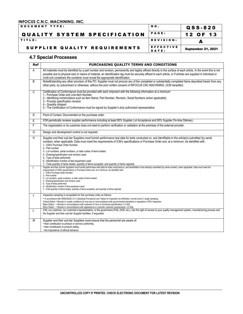| <b>DOCUMENT TYPE:</b>               | NO.          | Q S S - 8 2 0             |
|-------------------------------------|--------------|---------------------------|
| <b>QUALITY SYSTEM SPECIFICATION</b> | <b>PAGE:</b> | 12 OF 13                  |
| TITLE:                              | REVISION:    |                           |
| SUPPLIER QUALITY REQUIREMENTS       | EFFECTIVE    | <b>September 21, 2021</b> |
|                                     | DATE:        |                           |

#### **4.7 Special Processes**

| <b>Ref</b>     | PURCHASING QUALITY TERMS AND CONDITIONS                                                                                                                                                                                                                                                                                                                                                                                                                                                                                                                                                                                                                                                                                                                                                                                                                                         |
|----------------|---------------------------------------------------------------------------------------------------------------------------------------------------------------------------------------------------------------------------------------------------------------------------------------------------------------------------------------------------------------------------------------------------------------------------------------------------------------------------------------------------------------------------------------------------------------------------------------------------------------------------------------------------------------------------------------------------------------------------------------------------------------------------------------------------------------------------------------------------------------------------------|
| $\overline{A}$ | All materials must be identified by a part number and revision, permanently and legibly affixed directly to the surface of each article, In the event this is not<br>possible due to physical size or nature of material, an identification tag must be securely affixed to each article, or If articles are supplied in individual or<br>multi-unit containers the container must reveal the appropriate identification.                                                                                                                                                                                                                                                                                                                                                                                                                                                       |
| B              | Notwithstanding any other provision of this PO, Supplier must not procure any of the completed or substantially completed Items described herein from any<br>other party, by subcontract or otherwise, without the prior written consent of INFOCUS CNC MACHINING. (ICM hereafter).                                                                                                                                                                                                                                                                                                                                                                                                                                                                                                                                                                                             |
| $\mathsf{C}$   | Certification of Conformance must be provided with each shipment with the following information at a minimum:<br>1.- Purchase Order and Line-Item Number<br>2.- Identifying nomenclature such as Item Name, Part Number, Revision, Serial Numbers (when applicable)<br>3 - Process specification revision<br>4 - Quantity shipped<br>5.- The Certification of Conformance must be signed by Supplier's duly authorized representative.                                                                                                                                                                                                                                                                                                                                                                                                                                          |
| D              | Point of Contact: Documented on the purchase order.                                                                                                                                                                                                                                                                                                                                                                                                                                                                                                                                                                                                                                                                                                                                                                                                                             |
| E              | ICM periodically reviews supplier performance including at least 95% Supplier Lot Acceptance and 95% Supplier On-time Delivery;                                                                                                                                                                                                                                                                                                                                                                                                                                                                                                                                                                                                                                                                                                                                                 |
| F              | The organization or its customer does not need to perform verification or validation at the premises of the external provider.                                                                                                                                                                                                                                                                                                                                                                                                                                                                                                                                                                                                                                                                                                                                                  |
| G              | Design and development control is not required.                                                                                                                                                                                                                                                                                                                                                                                                                                                                                                                                                                                                                                                                                                                                                                                                                                 |
| H              | Supplier and their sub-tier Suppliers must furnish performance test data for tests conducted on, and identifiable to the article(s) submitted (by serial<br>number), when applicable. Data must meet the requirements of ICM's specifications or Purchase Order and, at a minimum, be identified with :<br>1.- ICM's Purchase Order Number.<br>2.- Part number<br>3.- Lot numbers, serial numbers, or date codes of items tested.<br>4.- Drawing/specification and revision used<br>5.- Type of tests performed<br>6.- Identification number of test equipment used<br>7.- Total quantity of items tested, quantity of items accepted, and quantity of items rejected.<br>Supplier and their sub-tier Suppliers must furnish performance test data for tests conducted on, and identifiable to the article(s) submitted (by serial number), when applicable. Data must meet the |
|                | requirements of ICM's specifications or Purchase Order and, at a minimum, be identified with:<br>1.- ICM's Purchase Order Number.<br>2.- Part number<br>3.- Lot numbers, serial numbers, or date codes of items tested.<br>4.- Drawing/specification and revision used<br>5.- Type of tests performed<br>6.- Identification number of test equipment used<br>7.- Total quantity of items tested, quantity of items accepted, and quantity of items rejected.                                                                                                                                                                                                                                                                                                                                                                                                                    |
| J              | Inspection sampling is acceptable for this purchase order as follows:<br>. In accordance with ANSI/ASQC Z1.4 Sampling Procedures and Tables for Inspection by Attributes, normal Level II, single sampling.<br>Critical Defect = Results in unsafe conditions for end user or noncompliance with governmental standards or regulations.100% Inspection<br>Major Defect. = Results in noncompliance with customer fit, form or functional specifications 1.0 AQL<br>Minor Defect. = Results in noncompliance with appearance or cosmetic customer requirements. 2.5 AQL                                                                                                                                                                                                                                                                                                          |
| L              | ICM, our customer, our customer's representative, or the government (FAA, DOD, etc.), has the right of access to your quality management system, manufacturing process and<br>the Supplier and their sub-tier Supplier facilities, if requested.                                                                                                                                                                                                                                                                                                                                                                                                                                                                                                                                                                                                                                |
| M              | Supplier and their sub-tier Suppliers must ensure that the personnel are aware of:<br>• their contribution to product or service conformity,<br>• their contribution to product safety,<br>• the importance of ethical behavior.                                                                                                                                                                                                                                                                                                                                                                                                                                                                                                                                                                                                                                                |